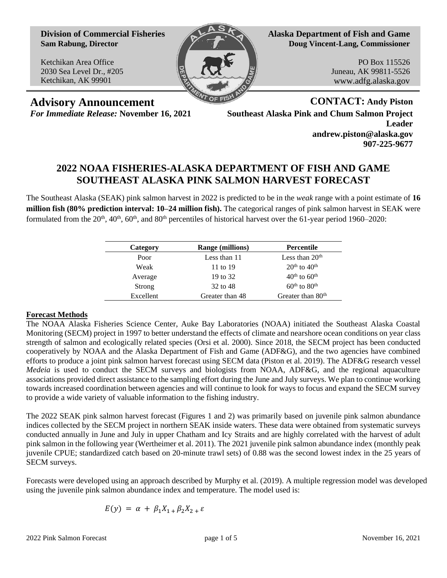**Division of Commercial Fisheries Sam Rabung, Director**

Ketchikan Area Office 2030 Sea Level Dr., #205 Ketchikan, AK 99901



**Alaska Department of Fish and Game Doug Vincent-Lang, Commissioner**

> PO Box 115526 Juneau, AK 99811-5526 www.adfg.alaska.gov

**Advisory Announcement CONTACT: Andy Piston**

*For Immediate Release:* **November 16, 2021 Southeast Alaska Pink and Chum Salmon Project Leader andrew.piston@alaska.gov 907-225-9677**

## **2022 NOAA FISHERIES-ALASKA DEPARTMENT OF FISH AND GAME SOUTHEAST ALASKA PINK SALMON HARVEST FORECAST**

The Southeast Alaska (SEAK) pink salmon harvest in 2022 is predicted to be in the *weak* range with a point estimate of **16 million fish (80% prediction interval: 10–24 million fish).** The categorical ranges of pink salmon harvest in SEAK were formulated from the  $20<sup>th</sup>$ ,  $40<sup>th</sup>$ ,  $60<sup>th</sup>$ , and  $80<sup>th</sup>$  percentiles of historical harvest over the 61-year period 1960–2020:

| Category  | <b>Range (millions)</b> | Percentile                           |
|-----------|-------------------------|--------------------------------------|
| Poor      | Less than 11            | Less than $20th$                     |
| Weak      | 11 to 19                | $20th$ to $40th$                     |
| Average   | 19 to 32                | $40th$ to $60th$                     |
| Strong    | 32 to 48                | $60^{\text{th}}$ to $80^{\text{th}}$ |
| Excellent | Greater than 48         | Greater than 80 <sup>th</sup>        |

## **Forecast Methods**

The NOAA Alaska Fisheries Science Center, Auke Bay Laboratories (NOAA) initiated the Southeast Alaska Coastal Monitoring (SECM) project in 1997 to better understand the effects of climate and nearshore ocean conditions on year class strength of salmon and ecologically related species (Orsi et al. 2000). Since 2018, the SECM project has been conducted cooperatively by NOAA and the Alaska Department of Fish and Game (ADF&G), and the two agencies have combined efforts to produce a joint pink salmon harvest forecast using SECM data (Piston et al. 2019). The ADF&G research vessel *Medeia* is used to conduct the SECM surveys and biologists from NOAA, ADF&G, and the regional aquaculture associations provided direct assistance to the sampling effort during the June and July surveys. We plan to continue working towards increased coordination between agencies and will continue to look for ways to focus and expand the SECM survey to provide a wide variety of valuable information to the fishing industry.

The 2022 SEAK pink salmon harvest forecast (Figures 1 and 2) was primarily based on juvenile pink salmon abundance indices collected by the SECM project in northern SEAK inside waters. These data were obtained from systematic surveys conducted annually in June and July in upper Chatham and Icy Straits and are highly correlated with the harvest of adult pink salmon in the following year (Wertheimer et al. 2011). The 2021 juvenile pink salmon abundance index (monthly peak juvenile CPUE; standardized catch based on 20-minute trawl sets) of 0.88 was the second lowest index in the 25 years of SECM surveys.

Forecasts were developed using an approach described by Murphy et al. (2019). A multiple regression model was developed using the juvenile pink salmon abundance index and temperature. The model used is:

$$
E(y) = \alpha + \beta_1 X_{1} + \beta_2 X_{2} + \varepsilon
$$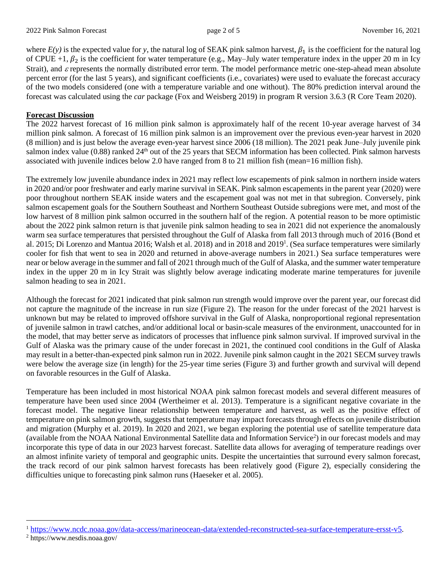where  $E(y)$  is the expected value for y, the natural log of SEAK pink salmon harvest,  $\beta_1$  is the coefficient for the natural log of CPUE +1,  $\beta_2$  is the coefficient for water temperature (e.g., May–July water temperature index in the upper 20 m in Icy Strait), and  $\varepsilon$  represents the normally distributed error term. The model performance metric one-step-ahead mean absolute percent error (for the last 5 years), and significant coefficients (i.e., covariates) were used to evaluate the forecast accuracy of the two models considered (one with a temperature variable and one without). The 80% prediction interval around the forecast was calculated using the *car* package (Fox and Weisberg 2019) in program R version 3.6.3 (R Core Team 2020).

## **Forecast Discussion**

The 2022 harvest forecast of 16 million pink salmon is approximately half of the recent 10-year average harvest of 34 million pink salmon. A forecast of 16 million pink salmon is an improvement over the previous even-year harvest in 2020 (8 million) and is just below the average even-year harvest since 2006 (18 million). The 2021 peak June–July juvenile pink salmon index value (0.88) ranked 24<sup>th</sup> out of the 25 years that SECM information has been collected. Pink salmon harvests associated with juvenile indices below 2.0 have ranged from 8 to 21 million fish (mean=16 million fish).

The extremely low juvenile abundance index in 2021 may reflect low escapements of pink salmon in northern inside waters in 2020 and/or poor freshwater and early marine survival in SEAK. Pink salmon escapements in the parent year (2020) were poor throughout northern SEAK inside waters and the escapement goal was not met in that subregion. Conversely, pink salmon escapement goals for the Southern Southeast and Northern Southeast Outside subregions were met, and most of the low harvest of 8 million pink salmon occurred in the southern half of the region. A potential reason to be more optimistic about the 2022 pink salmon return is that juvenile pink salmon heading to sea in 2021 did not experience the anomalously warm sea surface temperatures that persisted throughout the Gulf of Alaska from fall 2013 through much of 2016 (Bond et al. 2015; Di Lorenzo and Mantua 2016; Walsh et al. 2018) and in 2018 and 2019<sup>1</sup>. (Sea surface temperatures were similarly cooler for fish that went to sea in 2020 and returned in above-average numbers in 2021.) Sea surface temperatures were near or below average in the summer and fall of 2021 through much of the Gulf of Alaska, and the summer water temperature index in the upper 20 m in Icy Strait was slightly below average indicating moderate marine temperatures for juvenile salmon heading to sea in 2021.

Although the forecast for 2021 indicated that pink salmon run strength would improve over the parent year, our forecast did not capture the magnitude of the increase in run size (Figure 2). The reason for the under forecast of the 2021 harvest is unknown but may be related to improved offshore survival in the Gulf of Alaska, nonproportional regional representation of juvenile salmon in trawl catches, and/or additional local or basin-scale measures of the environment, unaccounted for in the model, that may better serve as indicators of processes that influence pink salmon survival. If improved survival in the Gulf of Alaska was the primary cause of the under forecast in 2021, the continued cool conditions in the Gulf of Alaska may result in a better-than-expected pink salmon run in 2022. Juvenile pink salmon caught in the 2021 SECM survey trawls were below the average size (in length) for the 25-year time series (Figure 3) and further growth and survival will depend on favorable resources in the Gulf of Alaska.

Temperature has been included in most historical NOAA pink salmon forecast models and several different measures of temperature have been used since 2004 (Wertheimer et al. 2013). Temperature is a significant negative covariate in the forecast model. The negative linear relationship between temperature and harvest, as well as the positive effect of temperature on pink salmon growth, suggests that temperature may impact forecasts through effects on juvenile distribution and migration (Murphy et al. 2019). In 2020 and 2021, we began exploring the potential use of satellite temperature data (available from the NOAA National Environmental Satellite data and Information Service<sup>2</sup>) in our forecast models and may incorporate this type of data in our 2023 harvest forecast. Satellite data allows for averaging of temperature readings over an almost infinite variety of temporal and geographic units. Despite the uncertainties that surround every salmon forecast, the track record of our pink salmon harvest forecasts has been relatively good (Figure 2), especially considering the difficulties unique to forecasting pink salmon runs (Haeseker et al. 2005).

<sup>1</sup> [https://www.ncdc.noaa.gov/data-access/marineocean-data/extended-reconstructed-sea-surface-temperature-ersst-v5.](https://www.ncdc.noaa.gov/data-access/marineocean-data/extended-reconstructed-sea-surface-temperature-ersst-v5)

<sup>2</sup> https://www.nesdis.noaa.gov/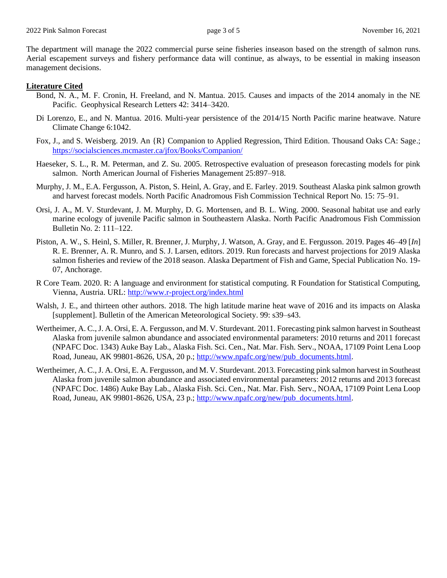The department will manage the 2022 commercial purse seine fisheries inseason based on the strength of salmon runs. Aerial escapement surveys and fishery performance data will continue, as always, to be essential in making inseason management decisions.

## **Literature Cited**

- Bond, N. A., M. F. Cronin, H. Freeland, and N. Mantua. 2015. Causes and impacts of the 2014 anomaly in the NE Pacific. Geophysical Research Letters 42: 3414–3420.
- Di Lorenzo, E., and N. Mantua. 2016. Multi-year persistence of the 2014/15 North Pacific marine heatwave. Nature Climate Change 6:1042.
- Fox, J., and S. Weisberg. 2019. An {R} Companion to Applied Regression, Third Edition. Thousand Oaks CA: Sage.; <https://socialsciences.mcmaster.ca/jfox/Books/Companion/>
- Haeseker, S. L., R. M. Peterman, and Z. Su. 2005. Retrospective evaluation of preseason forecasting models for pink salmon. North American Journal of Fisheries Management 25:897–918.
- Murphy, J. M., E.A. Fergusson, A. Piston, S. Heinl, A. Gray, and E. Farley. 2019. Southeast Alaska pink salmon growth and harvest forecast models. North Pacific Anadromous Fish Commission Technical Report No. 15: 75–91.
- Orsi, J. A., M. V. Sturdevant, J. M. Murphy, D. G. Mortensen, and B. L. Wing. 2000. Seasonal habitat use and early marine ecology of juvenile Pacific salmon in Southeastern Alaska. North Pacific Anadromous Fish Commission Bulletin No. 2: 111–122.
- Piston, A. W., S. Heinl, S. Miller, R. Brenner, J. Murphy, J. Watson, A. Gray, and E. Fergusson. 2019. Pages 46–49 [*In*] R. E. Brenner, A. R. Munro, and S. J. Larsen, editors. 2019. Run forecasts and harvest projections for 2019 Alaska salmon fisheries and review of the 2018 season. Alaska Department of Fish and Game, Special Publication No. 19- 07, Anchorage.
- R Core Team. 2020. R: A language and environment for statistical computing. R Foundation for Statistical Computing, Vienna, Austria. URL:<http://www.r-project.org/index.html>
- Walsh, J. E., and thirteen other authors. 2018. The high latitude marine heat wave of 2016 and its impacts on Alaska [supplement]. Bulletin of the American Meteorological Society. 99: s39–s43.
- Wertheimer, A. C., J. A. Orsi, E. A. Fergusson, and M. V. Sturdevant. 2011. Forecasting pink salmon harvest in Southeast Alaska from juvenile salmon abundance and associated environmental parameters: 2010 returns and 2011 forecast (NPAFC Doc. 1343) Auke Bay Lab., Alaska Fish. Sci. Cen., Nat. Mar. Fish. Serv., NOAA, 17109 Point Lena Loop Road, Juneau, AK 99801-8626, USA, 20 p.; [http://www.npafc.org/new/pub\\_documents.html.](http://www.npafc.org/new/pub_documents.html)
- Wertheimer, A. C., J. A. Orsi, E. A. Fergusson, and M. V. Sturdevant. 2013. Forecasting pink salmon harvest in Southeast Alaska from juvenile salmon abundance and associated environmental parameters: 2012 returns and 2013 forecast (NPAFC Doc. 1486) Auke Bay Lab., Alaska Fish. Sci. Cen., Nat. Mar. Fish. Serv., NOAA, 17109 Point Lena Loop Road, Juneau, AK 99801-8626, USA, 23 p.; [http://www.npafc.org/new/pub\\_documents.html.](http://www.npafc.org/new/pub_documents.html)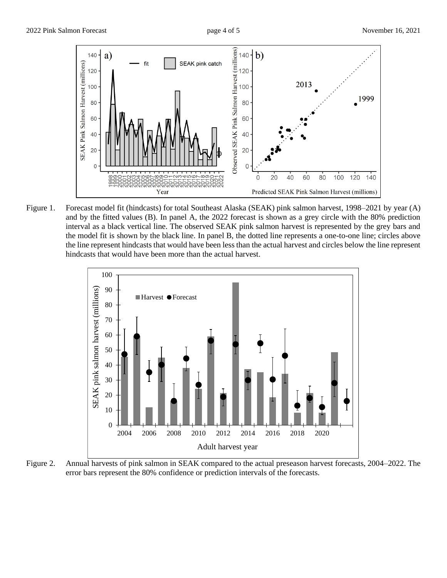

Figure 1. Forecast model fit (hindcasts) for total Southeast Alaska (SEAK) pink salmon harvest, 1998–2021 by year (A) and by the fitted values (B). In panel A, the 2022 forecast is shown as a grey circle with the 80% prediction interval as a black vertical line. The observed SEAK pink salmon harvest is represented by the grey bars and the model fit is shown by the black line. In panel B, the dotted line represents a one-to-one line; circles above the line represent hindcasts that would have been less than the actual harvest and circles below the line represent hindcasts that would have been more than the actual harvest.



Figure 2. Annual harvests of pink salmon in SEAK compared to the actual preseason harvest forecasts, 2004–2022. The error bars represent the 80% confidence or prediction intervals of the forecasts.